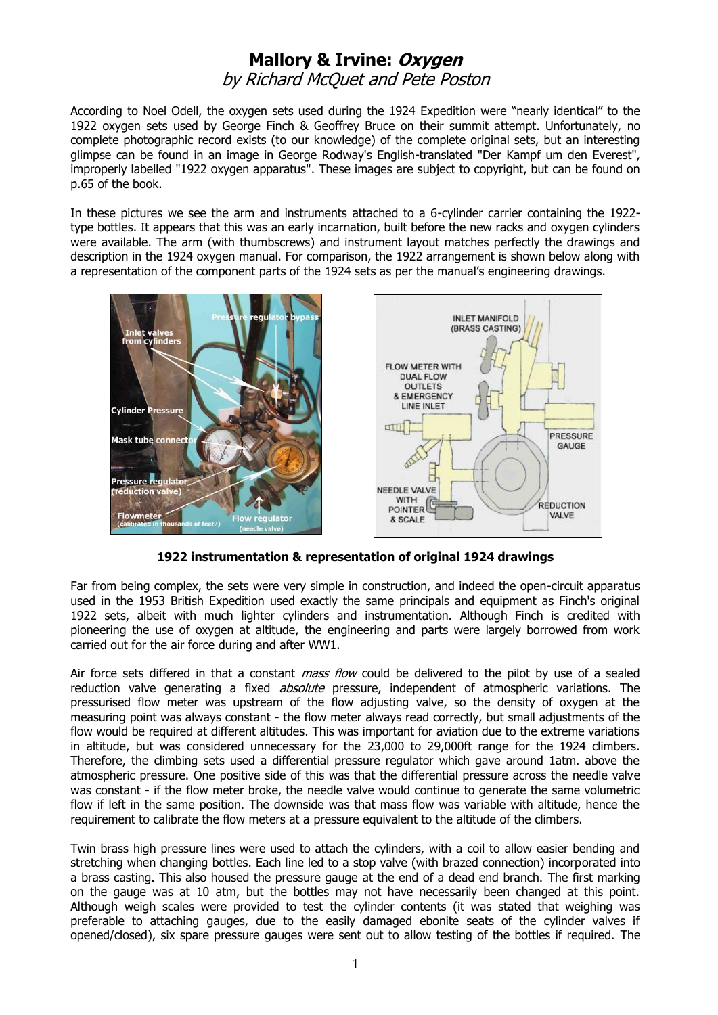## **Mallory & Irvine: Oxygen** by Richard McQuet and Pete Poston

According to Noel Odell, the oxygen sets used during the 1924 Expedition were "nearly identical" to the 1922 oxygen sets used by George Finch & Geoffrey Bruce on their summit attempt. Unfortunately, no complete photographic record exists (to our knowledge) of the complete original sets, but an interesting glimpse can be found in an image in George Rodway's English-translated "Der Kampf um den Everest", improperly labelled "1922 oxygen apparatus". These images are subject to copyright, but can be found on p.65 of the book.

In these pictures we see the arm and instruments attached to a 6-cylinder carrier containing the 1922 type bottles. It appears that this was an early incarnation, built before the new racks and oxygen cylinders were available. The arm (with thumbscrews) and instrument layout matches perfectly the drawings and description in the 1924 oxygen manual. For comparison, the 1922 arrangement is shown below along with a representation of the component parts of the 1924 sets as per the manual's engineering drawings.



**1922 instrumentation & representation of original 1924 drawings**

Far from being complex, the sets were very simple in construction, and indeed the open-circuit apparatus used in the 1953 British Expedition used exactly the same principals and equipment as Finch's original 1922 sets, albeit with much lighter cylinders and instrumentation. Although Finch is credited with pioneering the use of oxygen at altitude, the engineering and parts were largely borrowed from work carried out for the air force during and after WW1.

Air force sets differed in that a constant *mass flow* could be delivered to the pilot by use of a sealed reduction valve generating a fixed *absolute* pressure, independent of atmospheric variations. The pressurised flow meter was upstream of the flow adjusting valve, so the density of oxygen at the measuring point was always constant - the flow meter always read correctly, but small adjustments of the flow would be required at different altitudes. This was important for aviation due to the extreme variations in altitude, but was considered unnecessary for the 23,000 to 29,000ft range for the 1924 climbers. Therefore, the climbing sets used a differential pressure regulator which gave around 1atm. above the atmospheric pressure. One positive side of this was that the differential pressure across the needle valve was constant - if the flow meter broke, the needle valve would continue to generate the same volumetric flow if left in the same position. The downside was that mass flow was variable with altitude, hence the requirement to calibrate the flow meters at a pressure equivalent to the altitude of the climbers.

Twin brass high pressure lines were used to attach the cylinders, with a coil to allow easier bending and stretching when changing bottles. Each line led to a stop valve (with brazed connection) incorporated into a brass casting. This also housed the pressure gauge at the end of a dead end branch. The first marking on the gauge was at 10 atm, but the bottles may not have necessarily been changed at this point. Although weigh scales were provided to test the cylinder contents (it was stated that weighing was preferable to attaching gauges, due to the easily damaged ebonite seats of the cylinder valves if opened/closed), six spare pressure gauges were sent out to allow testing of the bottles if required. The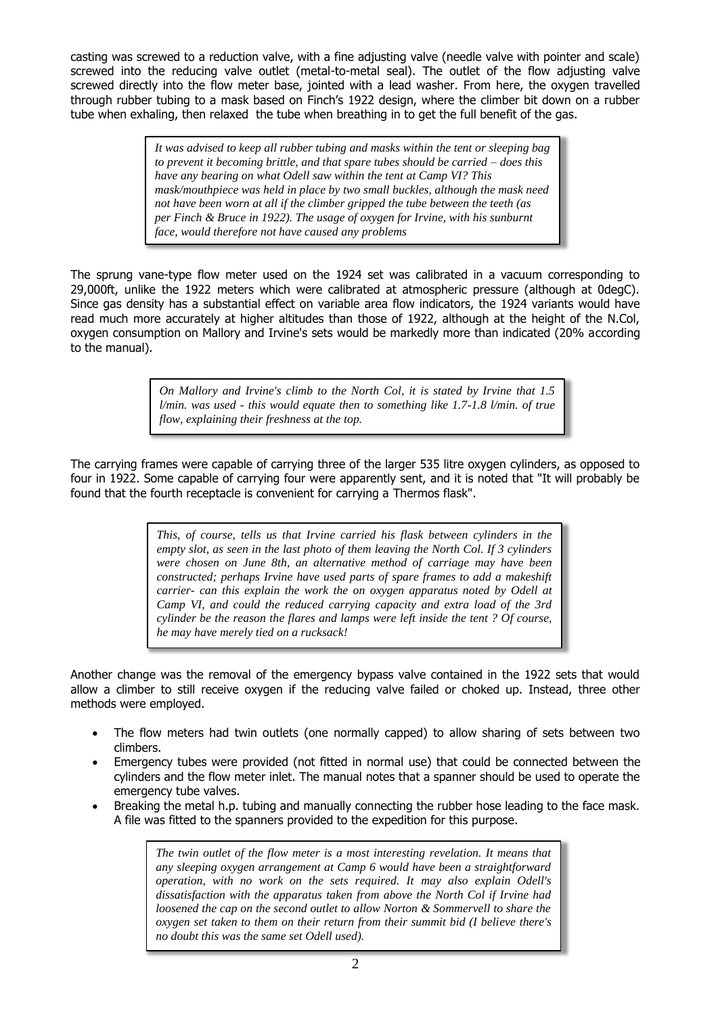casting was screwed to a reduction valve, with a fine adjusting valve (needle valve with pointer and scale) screwed into the reducing valve outlet (metal-to-metal seal). The outlet of the flow adjusting valve screwed directly into the flow meter base, jointed with a lead washer. From here, the oxygen travelled through rubber tubing to a mask based on Finch's 1922 design, where the climber bit down on a rubber tube when exhaling, then relaxed the tube when breathing in to get the full benefit of the gas.

> *It was advised to keep all rubber tubing and masks within the tent or sleeping bag to prevent it becoming brittle, and that spare tubes should be carried – does this have any bearing on what Odell saw within the tent at Camp VI? This mask/mouthpiece was held in place by two small buckles, although the mask need not have been worn at all if the climber gripped the tube between the teeth (as per Finch & Bruce in 1922). The usage of oxygen for Irvine, with his sunburnt face, would therefore not have caused any problems*

The sprung vane-type flow meter used on the 1924 set was calibrated in a vacuum corresponding to 29,000ft, unlike the 1922 meters which were calibrated at atmospheric pressure (although at 0degC). Since gas density has a substantial effect on variable area flow indicators, the 1924 variants would have read much more accurately at higher altitudes than those of 1922, although at the height of the N.Col, oxygen consumption on Mallory and Irvine's sets would be markedly more than indicated (20% according to the manual).

> *On Mallory and Irvine's climb to the North Col, it is stated by Irvine that 1.5 l/min. was used - this would equate then to something like 1.7-1.8 l/min. of true flow, explaining their freshness at the top.*

The carrying frames were capable of carrying three of the larger 535 litre oxygen cylinders, as opposed to four in 1922. Some capable of carrying four were apparently sent, and it is noted that "It will probably be found that the fourth receptacle is convenient for carrying a Thermos flask".

> *This, of course, tells us that Irvine carried his flask between cylinders in the empty slot, as seen in the last photo of them leaving the North Col. If 3 cylinders were chosen on June 8th, an alternative method of carriage may have been constructed; perhaps Irvine have used parts of spare frames to add a makeshift carrier- can this explain the work the on oxygen apparatus noted by Odell at Camp VI, and could the reduced carrying capacity and extra load of the 3rd cylinder be the reason the flares and lamps were left inside the tent ? Of course, he may have merely tied on a rucksack!*

Another change was the removal of the emergency bypass valve contained in the 1922 sets that would allow a climber to still receive oxygen if the reducing valve failed or choked up. Instead, three other methods were employed.

- The flow meters had twin outlets (one normally capped) to allow sharing of sets between two climbers.
- Emergency tubes were provided (not fitted in normal use) that could be connected between the cylinders and the flow meter inlet. The manual notes that a spanner should be used to operate the emergency tube valves.
- Breaking the metal h.p. tubing and manually connecting the rubber hose leading to the face mask. A file was fitted to the spanners provided to the expedition for this purpose.

*The twin outlet of the flow meter is a most interesting revelation. It means that any sleeping oxygen arrangement at Camp 6 would have been a straightforward operation, with no work on the sets required. It may also explain Odell's dissatisfaction with the apparatus taken from above the North Col if Irvine had loosened the cap on the second outlet to allow Norton & Sommervell to share the oxygen set taken to them on their return from their summit bid (I believe there's no doubt this was the same set Odell used).*